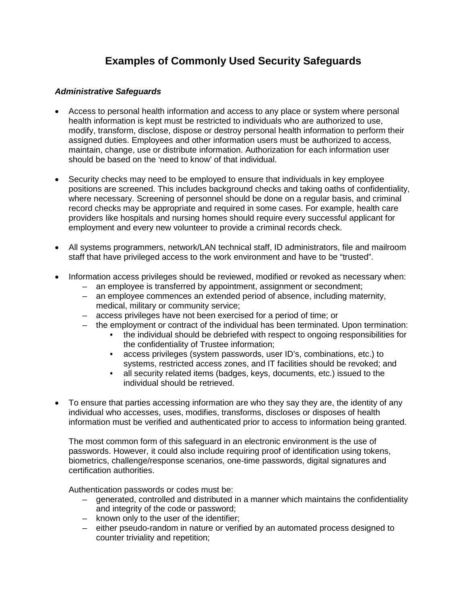## **Examples of Commonly Used Security Safeguards**

## *Administrative Safeguards*

- Access to personal health information and access to any place or system where personal health information is kept must be restricted to individuals who are authorized to use, modify, transform, disclose, dispose or destroy personal health information to perform their assigned duties. Employees and other information users must be authorized to access, maintain, change, use or distribute information. Authorization for each information user should be based on the 'need to know' of that individual.
- Security checks may need to be employed to ensure that individuals in key employee positions are screened. This includes background checks and taking oaths of confidentiality, where necessary. Screening of personnel should be done on a regular basis, and criminal record checks may be appropriate and required in some cases. For example, health care providers like hospitals and nursing homes should require every successful applicant for employment and every new volunteer to provide a criminal records check.
- All systems programmers, network/LAN technical staff, ID administrators, file and mailroom staff that have privileged access to the work environment and have to be "trusted".
- Information access privileges should be reviewed, modified or revoked as necessary when:
	- an employee is transferred by appointment, assignment or secondment;
	- an employee commences an extended period of absence, including maternity, medical, military or community service;
	- access privileges have not been exercised for a period of time; or
	- the employment or contract of the individual has been terminated. Upon termination:
		- the individual should be debriefed with respect to ongoing responsibilities for the confidentiality of Trustee information;
		- access privileges (system passwords, user ID's, combinations, etc.) to systems, restricted access zones, and IT facilities should be revoked; and
		- all security related items (badges, keys, documents, etc.) issued to the individual should be retrieved.
- To ensure that parties accessing information are who they say they are, the identity of any individual who accesses, uses, modifies, transforms, discloses or disposes of health information must be verified and authenticated prior to access to information being granted.

The most common form of this safeguard in an electronic environment is the use of passwords. However, it could also include requiring proof of identification using tokens, biometrics, challenge/response scenarios, one-time passwords, digital signatures and certification authorities.

Authentication passwords or codes must be:

- generated, controlled and distributed in a manner which maintains the confidentiality and integrity of the code or password;
- known only to the user of the identifier;
- either pseudo-random in nature or verified by an automated process designed to counter triviality and repetition;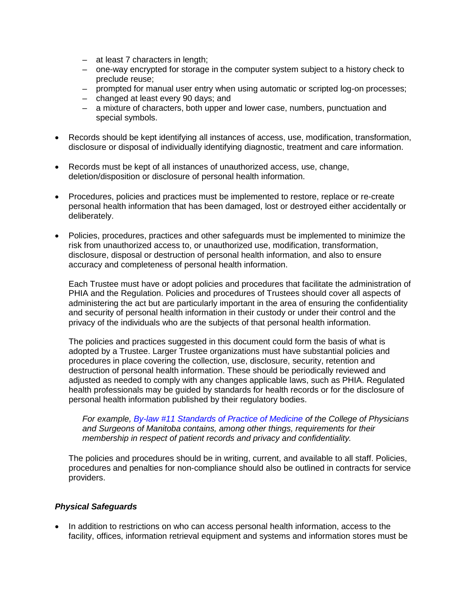- at least 7 characters in length;
- one-way encrypted for storage in the computer system subject to a history check to preclude reuse;
- prompted for manual user entry when using automatic or scripted log-on processes;
- changed at least every 90 days; and
- a mixture of characters, both upper and lower case, numbers, punctuation and special symbols.
- Records should be kept identifying all instances of access, use, modification, transformation, disclosure or disposal of individually identifying diagnostic, treatment and care information.
- Records must be kept of all instances of unauthorized access, use, change, deletion/disposition or disclosure of personal health information.
- Procedures, policies and practices must be implemented to restore, replace or re-create personal health information that has been damaged, lost or destroyed either accidentally or deliberately.
- Policies, procedures, practices and other safeguards must be implemented to minimize the risk from unauthorized access to, or unauthorized use, modification, transformation, disclosure, disposal or destruction of personal health information, and also to ensure accuracy and completeness of personal health information.

Each Trustee must have or adopt policies and procedures that facilitate the administration of PHIA and the Regulation. Policies and procedures of Trustees should cover all aspects of administering the act but are particularly important in the area of ensuring the confidentiality and security of personal health information in their custody or under their control and the privacy of the individuals who are the subjects of that personal health information.

The policies and practices suggested in this document could form the basis of what is adopted by a Trustee. Larger Trustee organizations must have substantial policies and procedures in place covering the collection, use, disclosure, security, retention and destruction of personal health information. These should be periodically reviewed and adjusted as needed to comply with any changes applicable laws, such as PHIA. Regulated health professionals may be guided by standards for health records or for the disclosure of personal health information published by their regulatory bodies.

*For example, [By-law #11 Standards of Practice of Medicine](http://cpsm.mb.ca/cjj39alckF30a/wp-content/uploads/ByLaws/By-Law-11.pdf) of the College of Physicians and Surgeons of Manitoba contains, among other things, requirements for their membership in respect of patient records and privacy and confidentiality.*

The policies and procedures should be in writing, current, and available to all staff. Policies, procedures and penalties for non-compliance should also be outlined in contracts for service providers.

## *Physical Safeguards*

• In addition to restrictions on who can access personal health information, access to the facility, offices, information retrieval equipment and systems and information stores must be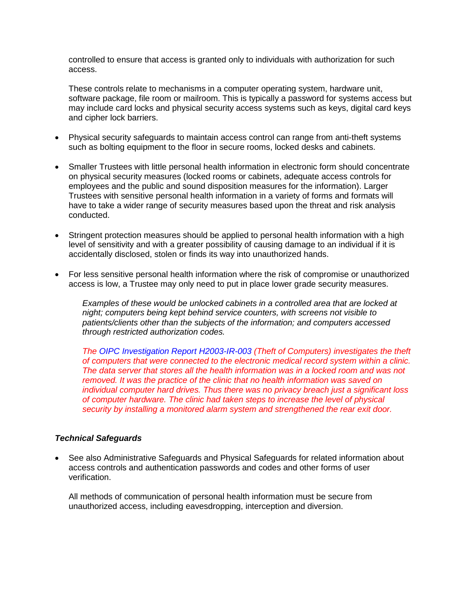controlled to ensure that access is granted only to individuals with authorization for such access.

These controls relate to mechanisms in a computer operating system, hardware unit, software package, file room or mailroom. This is typically a password for systems access but may include card locks and physical security access systems such as keys, digital card keys and cipher lock barriers.

- Physical security safeguards to maintain access control can range from anti-theft systems such as bolting equipment to the floor in secure rooms, locked desks and cabinets.
- Smaller Trustees with little personal health information in electronic form should concentrate on physical security measures (locked rooms or cabinets, adequate access controls for employees and the public and sound disposition measures for the information). Larger Trustees with sensitive personal health information in a variety of forms and formats will have to take a wider range of security measures based upon the threat and risk analysis conducted.
- Stringent protection measures should be applied to personal health information with a high level of sensitivity and with a greater possibility of causing damage to an individual if it is accidentally disclosed, stolen or finds its way into unauthorized hands.
- For less sensitive personal health information where the risk of compromise or unauthorized access is low, a Trustee may only need to put in place lower grade security measures.

*Examples of these would be unlocked cabinets in a controlled area that are locked at night; computers being kept behind service counters, with screens not visible to patients/clients other than the subjects of the information; and computers accessed through restricted authorization codes.*

*The [OIPC Investigation Report H2003-IR-003](https://www.oipc.ab.ca/media/127671/H2003-003IR.pdf) (Theft of Computers) investigates the theft of computers that were connected to the electronic medical record system within a clinic. The data server that stores all the health information was in a locked room and was not removed. It was the practice of the clinic that no health information was saved on individual computer hard drives. Thus there was no privacy breach just a significant loss of computer hardware. The clinic had taken steps to increase the level of physical security by installing a monitored alarm system and strengthened the rear exit door.*

## *Technical Safeguards*

• See also Administrative Safeguards and Physical Safeguards for related information about access controls and authentication passwords and codes and other forms of user verification.

All methods of communication of personal health information must be secure from unauthorized access, including eavesdropping, interception and diversion.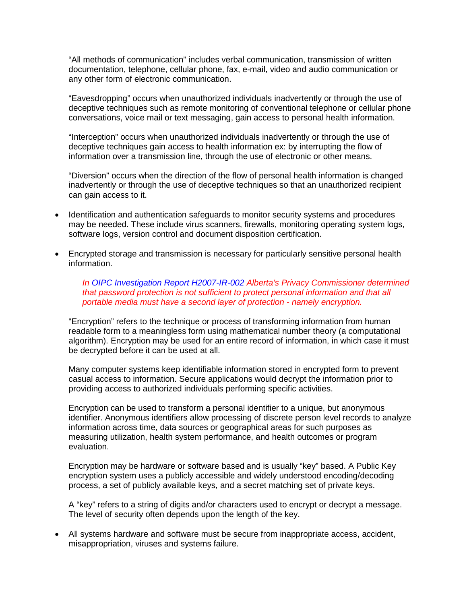"All methods of communication" includes verbal communication, transmission of written documentation, telephone, cellular phone, fax, e-mail, video and audio communication or any other form of electronic communication.

"Eavesdropping" occurs when unauthorized individuals inadvertently or through the use of deceptive techniques such as remote monitoring of conventional telephone or cellular phone conversations, voice mail or text messaging, gain access to personal health information.

"Interception" occurs when unauthorized individuals inadvertently or through the use of deceptive techniques gain access to health information ex: by interrupting the flow of information over a transmission line, through the use of electronic or other means.

"Diversion" occurs when the direction of the flow of personal health information is changed inadvertently or through the use of deceptive techniques so that an unauthorized recipient can gain access to it.

- Identification and authentication safeguards to monitor security systems and procedures may be needed. These include virus scanners, firewalls, monitoring operating system logs, software logs, version control and document disposition certification.
- Encrypted storage and transmission is necessary for particularly sensitive personal health information.

*In [OIPC Investigation Report H2007-IR-002](https://www.oipc.ab.ca/media/127812/H2007-002IR.pdf) Alberta's Privacy Commissioner determined that password protection is not sufficient to protect personal information and that all portable media must have a second layer of protection - namely encryption.*

"Encryption" refers to the technique or process of transforming information from human readable form to a meaningless form using mathematical number theory (a computational algorithm). Encryption may be used for an entire record of information, in which case it must be decrypted before it can be used at all.

Many computer systems keep identifiable information stored in encrypted form to prevent casual access to information. Secure applications would decrypt the information prior to providing access to authorized individuals performing specific activities.

Encryption can be used to transform a personal identifier to a unique, but anonymous identifier. Anonymous identifiers allow processing of discrete person level records to analyze information across time, data sources or geographical areas for such purposes as measuring utilization, health system performance, and health outcomes or program evaluation.

Encryption may be hardware or software based and is usually "key" based. A Public Key encryption system uses a publicly accessible and widely understood encoding/decoding process, a set of publicly available keys, and a secret matching set of private keys.

A "key" refers to a string of digits and/or characters used to encrypt or decrypt a message. The level of security often depends upon the length of the key.

• All systems hardware and software must be secure from inappropriate access, accident, misappropriation, viruses and systems failure.